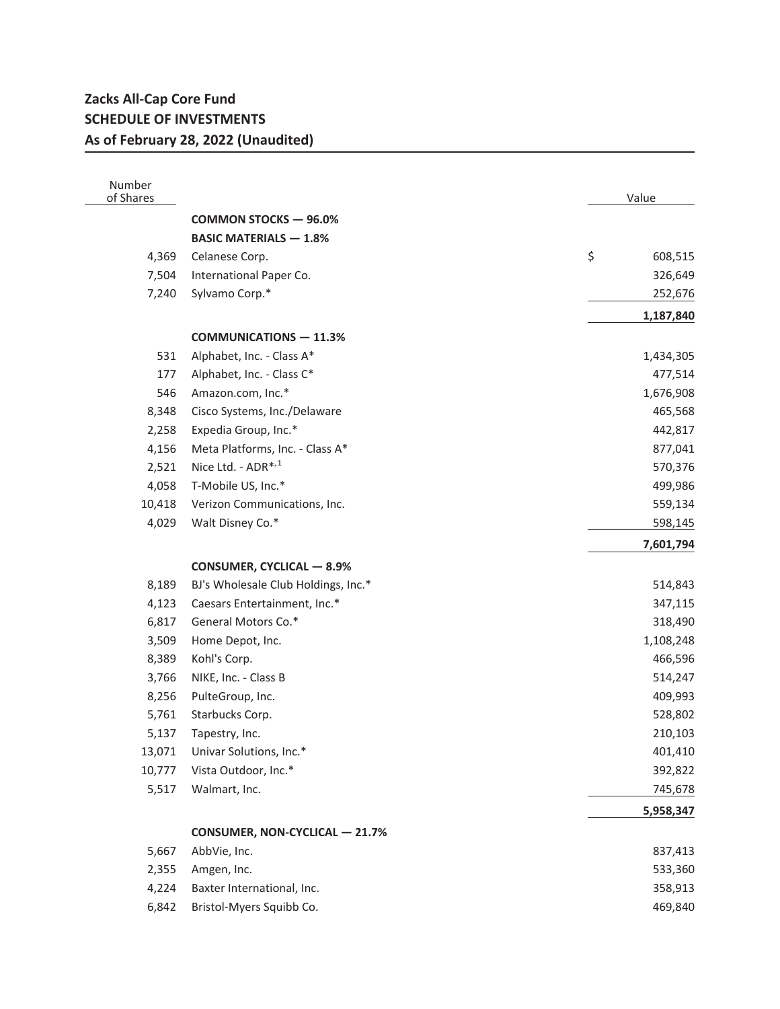## **Zacks All-Cap Core Fund SCHEDULE OF INVESTMENTS As of February 28, 2022 (Unaudited)**

| Number<br>of Shares |                                     | Value         |
|---------------------|-------------------------------------|---------------|
|                     | <b>COMMON STOCKS - 96.0%</b>        |               |
|                     | <b>BASIC MATERIALS - 1.8%</b>       |               |
| 4,369               | Celanese Corp.                      | \$<br>608,515 |
| 7,504               | International Paper Co.             | 326,649       |
| 7,240               | Sylvamo Corp.*                      | 252,676       |
|                     |                                     | 1,187,840     |
|                     | <b>COMMUNICATIONS - 11.3%</b>       |               |
| 531                 | Alphabet, Inc. - Class A*           | 1,434,305     |
| 177                 | Alphabet, Inc. - Class C*           | 477,514       |
| 546                 | Amazon.com, Inc.*                   | 1,676,908     |
| 8,348               | Cisco Systems, Inc./Delaware        | 465,568       |
| 2,258               | Expedia Group, Inc.*                | 442,817       |
| 4,156               | Meta Platforms, Inc. - Class A*     | 877,041       |
| 2,521               | Nice Ltd. - ADR* <sup>,1</sup>      | 570,376       |
| 4,058               | T-Mobile US, Inc.*                  | 499,986       |
| 10,418              | Verizon Communications, Inc.        | 559,134       |
| 4,029               | Walt Disney Co.*                    | 598,145       |
|                     |                                     | 7,601,794     |
|                     | <b>CONSUMER, CYCLICAL - 8.9%</b>    |               |
| 8,189               | BJ's Wholesale Club Holdings, Inc.* | 514,843       |
| 4,123               | Caesars Entertainment, Inc.*        | 347,115       |
| 6,817               | General Motors Co.*                 | 318,490       |
| 3,509               | Home Depot, Inc.                    | 1,108,248     |
| 8,389               | Kohl's Corp.                        | 466,596       |
| 3,766               | NIKE, Inc. - Class B                | 514,247       |
| 8,256               | PulteGroup, Inc.                    | 409,993       |
| 5,761               | Starbucks Corp.                     | 528,802       |
| 5,137               | Tapestry, Inc.                      | 210,103       |
|                     | 13,071 Univar Solutions, Inc.*      | 401,410       |
| 10,777              | Vista Outdoor, Inc.*                | 392,822       |
| 5,517               | Walmart, Inc.                       | 745,678       |
|                     |                                     | 5,958,347     |
|                     | CONSUMER, NON-CYCLICAL - 21.7%      |               |
| 5,667               | AbbVie, Inc.                        | 837,413       |
| 2,355               | Amgen, Inc.                         | 533,360       |
| 4,224               | Baxter International, Inc.          | 358,913       |
| 6,842               | Bristol-Myers Squibb Co.            | 469,840       |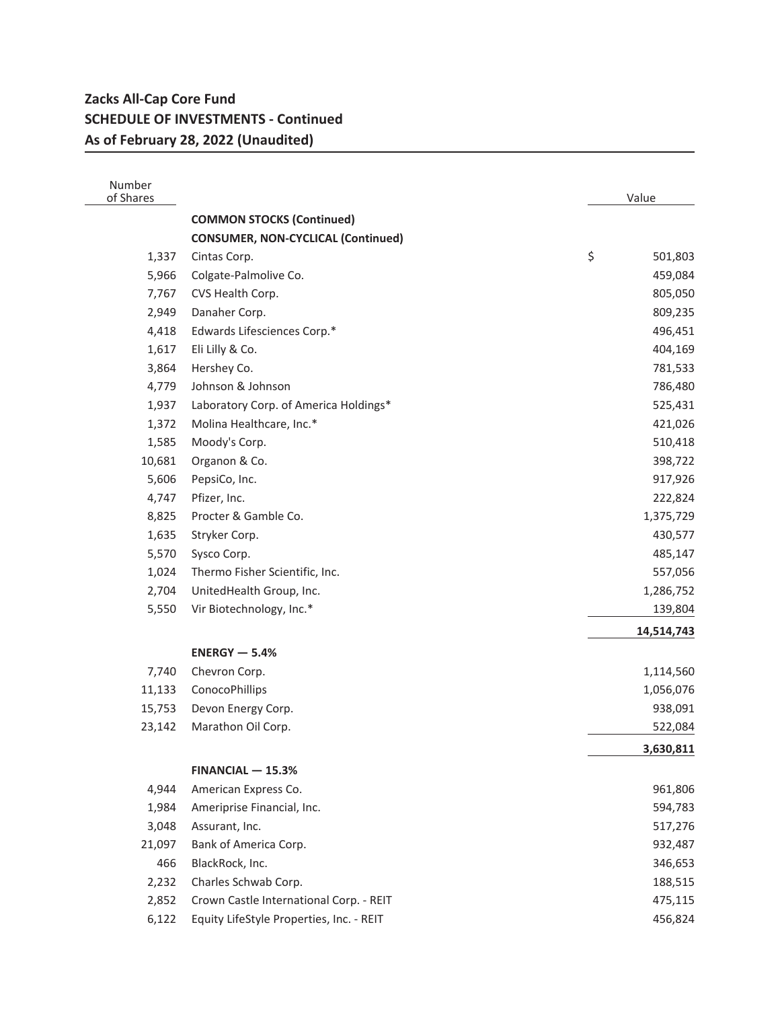## **Zacks All-Cap Core Fund SCHEDULE OF INVESTMENTS - Continued As of February 28, 2022 (Unaudited)**

| Number<br>of Shares |                                           | Value         |
|---------------------|-------------------------------------------|---------------|
|                     | <b>COMMON STOCKS (Continued)</b>          |               |
|                     | <b>CONSUMER, NON-CYCLICAL (Continued)</b> |               |
| 1,337               | Cintas Corp.                              | \$<br>501,803 |
| 5,966               | Colgate-Palmolive Co.                     | 459,084       |
| 7,767               | CVS Health Corp.                          | 805,050       |
| 2,949               | Danaher Corp.                             | 809,235       |
| 4,418               | Edwards Lifesciences Corp.*               | 496,451       |
| 1,617               | Eli Lilly & Co.                           | 404,169       |
| 3,864               | Hershey Co.                               | 781,533       |
| 4,779               | Johnson & Johnson                         | 786,480       |
| 1,937               | Laboratory Corp. of America Holdings*     | 525,431       |
| 1,372               | Molina Healthcare, Inc.*                  | 421,026       |
| 1,585               | Moody's Corp.                             | 510,418       |
| 10,681              | Organon & Co.                             | 398,722       |
| 5,606               | PepsiCo, Inc.                             | 917,926       |
| 4,747               | Pfizer, Inc.                              | 222,824       |
| 8,825               | Procter & Gamble Co.                      | 1,375,729     |
| 1,635               | Stryker Corp.                             | 430,577       |
| 5,570               | Sysco Corp.                               | 485,147       |
| 1,024               | Thermo Fisher Scientific, Inc.            | 557,056       |
| 2,704               | UnitedHealth Group, Inc.                  | 1,286,752     |
| 5,550               | Vir Biotechnology, Inc.*                  | 139,804       |
|                     |                                           | 14,514,743    |
|                     | $ENERGY - 5.4%$                           |               |
| 7,740               | Chevron Corp.                             | 1,114,560     |
| 11,133              | ConocoPhillips                            | 1,056,076     |
| 15,753              | Devon Energy Corp.                        | 938,091       |
| 23,142              | Marathon Oil Corp.                        | 522,084       |
|                     |                                           | 3,630,811     |
|                     | $FINANCIAL - 15.3%$                       |               |
| 4,944               | American Express Co.                      | 961,806       |
| 1,984               | Ameriprise Financial, Inc.                | 594,783       |
| 3,048               | Assurant, Inc.                            | 517,276       |
| 21,097              | Bank of America Corp.                     | 932,487       |
| 466                 | BlackRock, Inc.                           | 346,653       |
| 2,232               | Charles Schwab Corp.                      | 188,515       |
| 2,852               | Crown Castle International Corp. - REIT   | 475,115       |
| 6,122               | Equity LifeStyle Properties, Inc. - REIT  | 456,824       |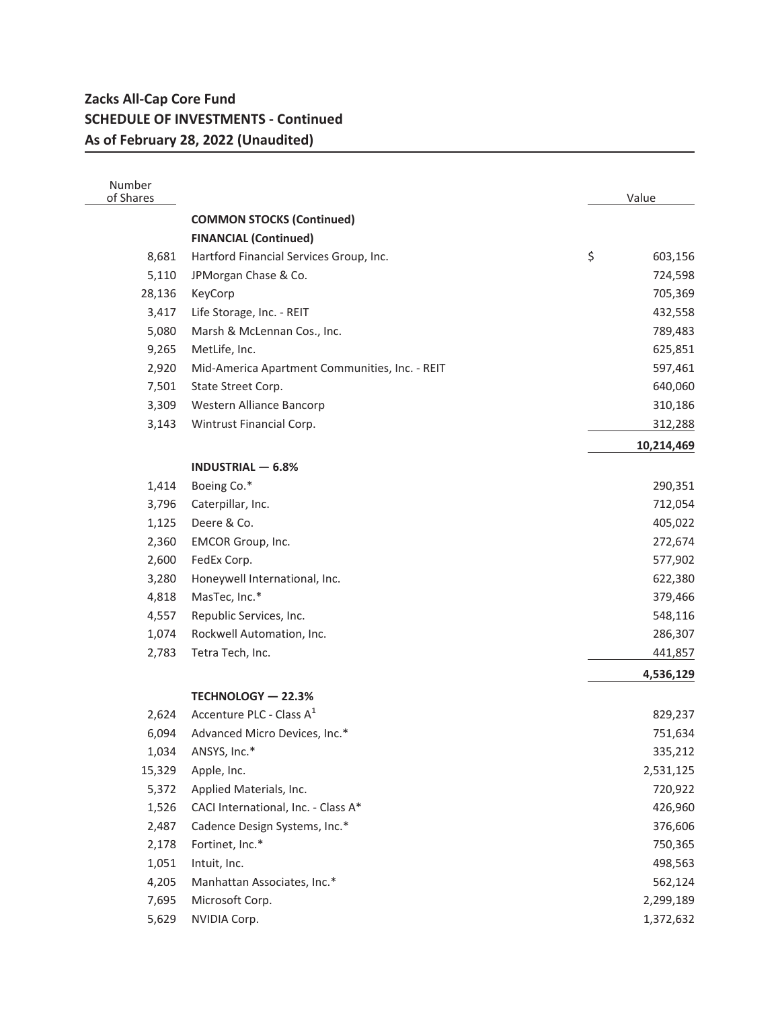## **Zacks All-Cap Core Fund SCHEDULE OF INVESTMENTS - Continued As of February 28, 2022 (Unaudited)**

| Number<br>of Shares |                                                | Value         |
|---------------------|------------------------------------------------|---------------|
|                     | <b>COMMON STOCKS (Continued)</b>               |               |
|                     | <b>FINANCIAL (Continued)</b>                   |               |
| 8,681               | Hartford Financial Services Group, Inc.        | \$<br>603,156 |
| 5,110               | JPMorgan Chase & Co.                           | 724,598       |
| 28,136              | KeyCorp                                        | 705,369       |
| 3,417               | Life Storage, Inc. - REIT                      | 432,558       |
| 5,080               | Marsh & McLennan Cos., Inc.                    | 789,483       |
| 9,265               | MetLife, Inc.                                  | 625,851       |
| 2,920               | Mid-America Apartment Communities, Inc. - REIT | 597,461       |
| 7,501               | State Street Corp.                             | 640,060       |
| 3,309               | Western Alliance Bancorp                       | 310,186       |
| 3,143               | Wintrust Financial Corp.                       | 312,288       |
|                     |                                                | 10,214,469    |
|                     | <b>INDUSTRIAL - 6.8%</b>                       |               |
| 1,414               | Boeing Co.*                                    | 290,351       |
| 3,796               | Caterpillar, Inc.                              | 712,054       |
| 1,125               | Deere & Co.                                    | 405,022       |
| 2,360               | EMCOR Group, Inc.                              | 272,674       |
| 2,600               | FedEx Corp.                                    | 577,902       |
| 3,280               | Honeywell International, Inc.                  | 622,380       |
| 4,818               | MasTec, Inc.*                                  | 379,466       |
| 4,557               | Republic Services, Inc.                        | 548,116       |
| 1,074               | Rockwell Automation, Inc.                      | 286,307       |
| 2,783               | Tetra Tech, Inc.                               | 441,857       |
|                     |                                                | 4,536,129     |
|                     | TECHNOLOGY - 22.3%                             |               |
| 2,624               | Accenture PLC - Class A <sup>1</sup>           | 829,237       |
| 6,094               | Advanced Micro Devices, Inc.*                  | 751,634       |
| 1,034               | ANSYS, Inc.*                                   | 335,212       |
| 15,329              | Apple, Inc.                                    | 2,531,125     |
| 5,372               | Applied Materials, Inc.                        | 720,922       |
| 1,526               | CACI International, Inc. - Class A*            | 426,960       |
| 2,487               | Cadence Design Systems, Inc.*                  | 376,606       |
| 2,178               | Fortinet, Inc.*                                | 750,365       |
| 1,051               | Intuit, Inc.                                   | 498,563       |
| 4,205               | Manhattan Associates, Inc.*                    | 562,124       |
| 7,695               | Microsoft Corp.                                | 2,299,189     |
| 5,629               | NVIDIA Corp.                                   | 1,372,632     |
|                     |                                                |               |